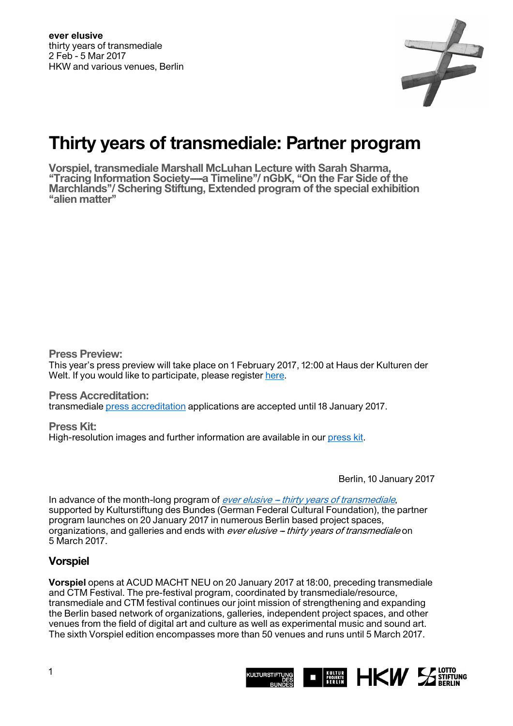

# **Thirty years of transmediale: Partner program**

**Vorspiel, transmediale Marshall McLuhan Lecture with Sarah Sharma,**  "Tracing Information Society----a Timeline"/ nGbK, "On the Far Side of the **Marchlands''/ Schering Stiftung, Extended program of the special exhibition ''alien matter''** 

**Press Preview:** 

This year's press preview will take place on 1 February 2017, 12:00 at Haus der Kulturen der Welt. If you would like to participate, please register [here.](https://transmediale.de/festival/2017/press-preview-sign-up)

**Press Accreditation:**  transmediale [press accreditation](https://transmediale.de/festival/2017/press-accreditation-2017) applications are accepted until 18 January 2017.

**Press Kit:**  High-resolution images and further information are available in our [press kit.](https://transmediale.de/festival/2017/press)

Berlin, 10 January 2017

In advance of the month-long program of ever elusive - thirty years of transmediale, supported by Kulturstiftung des Bundes (German Federal Cultural Foundation), the partner program launches on 20 January 2017 in numerous Berlin based project spaces, organizations, and galleries and ends with *ever elusive - thirty years of transmediale* on 5 March 2017.

## **Vorspiel**

**Vorspiel** opens at ACUD MACHT NEU on 20 January 2017 at 18:00, preceding transmediale and CTM Festival. The pre-festival program, coordinated by transmediale/resource, transmediale and CTM festival continues our joint mission of strengthening and expanding the Berlin based network of organizations, galleries, independent project spaces, and other venues from the field of digital art and culture as well as experimental music and sound art. The sixth Vorspiel edition encompasses more than 50 venues and runs until 5 March 2017.

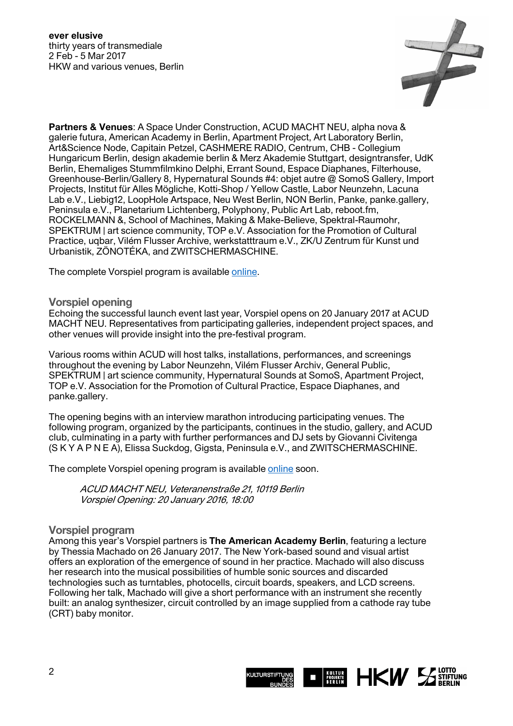

**Partners & Venues**: A Space Under Construction, ACUD MACHT NEU, alpha nova & galerie futura, American Academy in Berlin, Apartment Project, Art Laboratory Berlin, Art&Science Node, Capitain Petzel, CASHMERE RADIO, Centrum, CHB - Collegium Hungaricum Berlin, design akademie berlin & Merz Akademie Stuttgart, designtransfer, UdK Berlin, Ehemaliges Stummfilmkino Delphi, Errant Sound, Espace Diaphanes, Filterhouse, Greenhouse-Berlin/Gallery 8, Hypernatural Sounds #4: objet autre @ SomoS Gallery, Import Projects, Institut für Alles Mögliche, Kotti-Shop / Yellow Castle, Labor Neunzehn, Lacuna Lab e.V., Liebig12, LoopHole Artspace, Neu West Berlin, NON Berlin, Panke, panke.gallery, Peninsula e.V., Planetarium Lichtenberg, Polyphony, Public Art Lab, reboot.fm, ROCKELMANN &, School of Machines, Making & Make-Believe, Spektral-Raumohr, SPEKTRUM | art science community, TOP e.V. Association for the Promotion of Cultural Practice, uqbar, Vilém Flusser Archive, werkstatttraum e.V., ZK/U Zentrum für Kunst und Urbanistik, ZÖNOTÉKA, and ZWITSCHERMASCHINE.

The complete Vorspiel program is available [online.](https://vorspiel.berlin/)

#### **Vorspiel opening**

Echoing the successful launch event last year, Vorspiel opens on 20 January 2017 at ACUD MACHT NEU. Representatives from participating galleries, independent project spaces, and other venues will provide insight into the pre-festival program.

Various rooms within ACUD will host talks, installations, performances, and screenings throughout the evening by Labor Neunzehn, Vilém Flusser Archiv, General Public, SPEKTRUM | art science community, Hypernatural Sounds at SomoS, Apartment Project, TOP e.V. Association for the Promotion of Cultural Practice, Espace Diaphanes, and panke.gallery.

The opening begins with an interview marathon introducing participating venues. The following program, organized by the participants, continues in the studio, gallery, and ACUD club, culminating in a party with further performances and DJ sets by Giovanni Civitenga (S K Y A P N E A), Elissa Suckdog, Gigsta, Peninsula e.V., and ZWITSCHERMASCHINE.

The complete Vorspiel opening program is available [online](https://vorspiel.berlin/#overlay=node/38110/modal) soon.

ACUD MACHT NEU, Veteranenstraße 21, 10119 Berlin Vorspiel Opening: 20 January 2016, 18:00

#### **Vorspiel program**

Among this year's Vorspiel partners is **The American Academy Berlin**, featuring a lecture by Thessia Machado on 26 January 2017. The New York-based sound and visual artist offers an exploration of the emergence of sound in her practice. Machado will also discuss her research into the musical possibilities of humble sonic sources and discarded technologies such as turntables, photocells, circuit boards, speakers, and LCD screens. Following her talk, Machado will give a short performance with an instrument she recently built: an analog synthesizer, circuit controlled by an image supplied from a cathode ray tube (CRT) baby monitor.

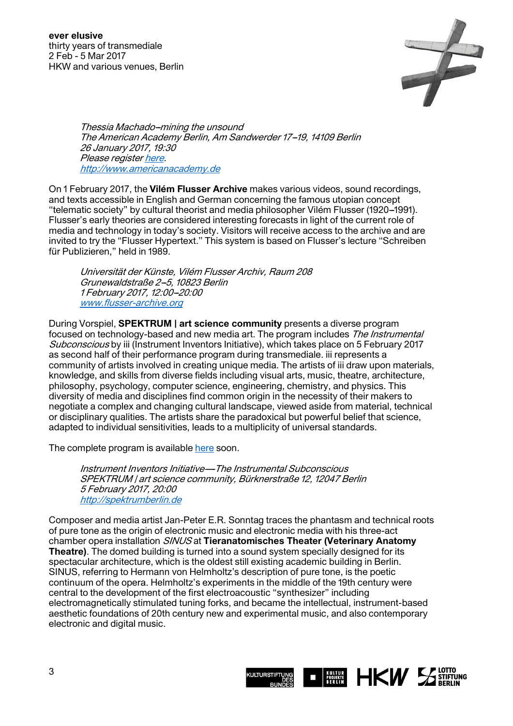

Thessia Machado-mining the unsound The American Academy Berlin, Am Sandwerder 17--19, 14109 Berlin 26 January 2017, 19:30 Please register [here.](http://www.americanacademy.de/de/home/program/upcoming/mining-unsound) [http://www.americanacademy.de](http://www.americanacademy.de/)

On 1 February 2017, the **Vilém Flusser Archive** makes various videos, sound recordings, and texts accessible in English and German concerning the famous utopian concept ''telematic society'' by cultural theorist and media philosopher Vilém Flusser (1920--1991). Flusser's early theories are considered interesting forecasts in light of the current role of media and technology in today's society. Visitors will receive access to the archive and are invited to try the "Flusser Hypertext." This system is based on Flusser's lecture "Schreiben für Publizieren," held in 1989.

Universität der Künste, Vilém Flusser Archiv, Raum 208 Grunewaldstraße 2-5, 10823 Berlin 1 February 2017, 12:00--20:00 [www.flusser-archive.org](http://www.flusser-archive.org/)

During Vorspiel, **SPEKTRUM | art science community** presents a diverse program focused on technology-based and new media art. The program includes The Instrumental Subconscious by iii (Instrument Inventors Initiative), which takes place on 5 February 2017 as second half of their performance program during transmediale. iii represents a community of artists involved in creating unique media. The artists of iii draw upon materials, knowledge, and skills from diverse fields including visual arts, music, theatre, architecture, philosophy, psychology, computer science, engineering, chemistry, and physics. This diversity of media and disciplines find common origin in the necessity of their makers to negotiate a complex and changing cultural landscape, viewed aside from material, technical or disciplinary qualities. The artists share the paradoxical but powerful belief that science, adapted to individual sensitivities, leads to a multiplicity of universal standards.

The complete program is available [here s](http://spektrumberlin.de/program/events.html)oon.

Instrument Inventors Initiative---The Instrumental Subconscious SPEKTRUM | art science community, Bürknerstraße 12, 12047 Berlin 5 February 2017, 20:00 [http://spektrumberlin.de](http://spektrumberlin.de/home.html)

Composer and media artist Jan-Peter E.R. Sonntag traces the phantasm and technical roots of pure tone as the origin of electronic music and electronic media with his three-act chamber opera installation SINUS at **Tieranatomisches Theater (Veterinary Anatomy Theatre)**. The domed building is turned into a sound system specially designed for its spectacular architecture, which is the oldest still existing academic building in Berlin. SINUS, referring to Hermann von Helmholtz's description of pure tone, is the poetic continuum of the opera. Helmholtz's experiments in the middle of the 19th century were central to the development of the first electroacoustic "synthesizer" including electromagnetically stimulated tuning forks, and became the intellectual, instrument-based aesthetic foundations of 20th century new and experimental music, and also contemporary electronic and digital music.

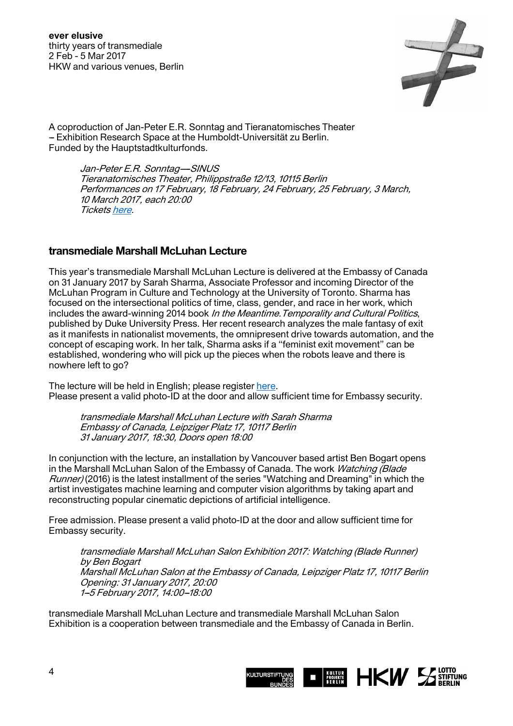

A coproduction of Jan-Peter E.R. Sonntag and Tieranatomisches Theater -- Exhibition Research Space at the Humboldt-Universität zu Berlin. Funded by the Hauptstadtkulturfonds.

> Jan-Peter E.R. Sonntag-SINUS Tieranatomisches Theater, Philippstraße 12/13, 10115 Berlin Performances on 17 February, 18 February, 24 February, 25 February, 3 March, 10 March 2017, each 20:00 Tickets [here.](https://www.eventbrite.de/e/sinus-2017-tickets-30330550493?aff=eac2)

#### **transmediale Marshall McLuhan Lecture**

This year's transmediale Marshall McLuhan Lecture is delivered at the Embassy of Canada on 31 January 2017 by Sarah Sharma, Associate Professor and incoming Director of the McLuhan Program in Culture and Technology at the University of Toronto. Sharma has focused on the intersectional politics of time, class, gender, and race in her work, which includes the award-winning 2014 book In the Meantime. Temporality and Cultural Politics, published by Duke University Press. Her recent research analyzes the male fantasy of exit as it manifests in nationalist movements, the omnipresent drive towards automation, and the concept of escaping work. In her talk, Sharma asks if a ''feminist exit movement'' can be established, wondering who will pick up the pieces when the robots leave and there is nowhere left to go?

The lecture will be held in English; please register [here.](http://www.mcluhan-salon.de/index.php?&page_name=calendar&action=&cookieCheck=1&aspect=event_registration&event_id=140&lang=en) Please present a valid photo-ID at the door and allow sufficient time for Embassy security.

transmediale Marshall McLuhan Lecture with Sarah Sharma Embassy of Canada, Leipziger Platz 17, 10117 Berlin 31 January 2017, 18:30, Doors open 18:00

In conjunction with the lecture, an installation by Vancouver based artist Ben Bogart opens in the Marshall McLuhan Salon of the Embassy of Canada. The work *Watching (Blade*) Runner) (2016) is the latest installment of the series "Watching and Dreaming" in which the artist investigates machine learning and computer vision algorithms by taking apart and reconstructing popular cinematic depictions of artificial intelligence.

Free admission. Please present a valid photo-ID at the door and allow sufficient time for Embassy security.

transmediale Marshall McLuhan Salon Exhibition 2017: Watching (Blade Runner) by Ben Bogart Marshall McLuhan Salon at the Embassy of Canada, Leipziger Platz 17, 10117 Berlin Opening: 31 January 2017, 20:00 1-5 February 2017, 14:00-18:00

transmediale Marshall McLuhan Lecture and transmediale Marshall McLuhan Salon Exhibition is a cooperation between transmediale and the Embassy of Canada in Berlin.

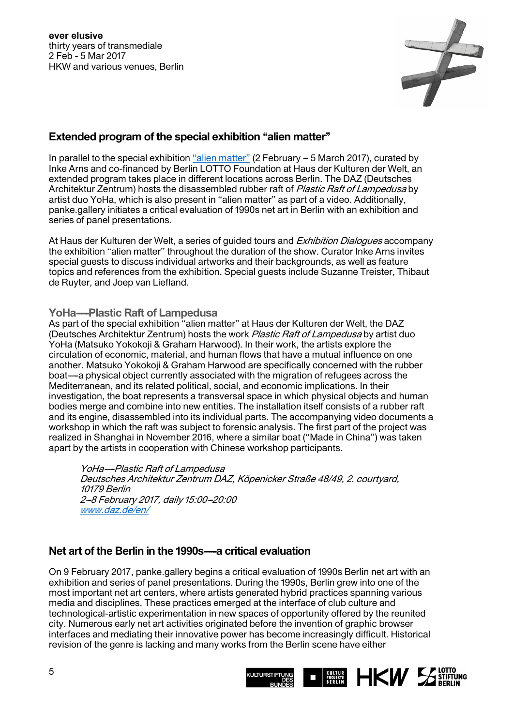

#### **Extended program of the special exhibition ''alien matter''**

In parallel to the special exhibition "alien matter" (2 February - 5 March 2017), curated by Inke Arns and co-financed by Berlin LOTTO Foundation at Haus der Kulturen der Welt, an extended program takes place in different locations across Berlin. The DAZ (Deutsches Architektur Zentrum) hosts the disassembled rubber raft of *Plastic Raft of Lampedusa* by artist duo YoHa, which is also present in ''alien matter'' as part of a video. Additionally, panke.gallery initiates a critical evaluation of 1990s net art in Berlin with an exhibition and series of panel presentations.

At Haus der Kulturen der Welt, a series of quided tours and *Exhibition Dialoques* accompany the exhibition ''alien matter'' throughout the duration of the show. Curator Inke Arns invites special guests to discuss individual artworks and their backgrounds, as well as feature topics and references from the exhibition. Special guests include Suzanne Treister, Thibaut de Ruyter, and Joep van Liefland.

#### **YoHa----Plastic Raft of Lampedusa**

As part of the special exhibition ''alien matter'' at Haus der Kulturen der Welt, the DAZ (Deutsches Architektur Zentrum) hosts the work Plastic Raft of Lampedusa by artist duo YoHa (Matsuko Yokokoji & Graham Harwood). In their work, the artists explore the circulation of economic, material, and human flows that have a mutual influence on one another. Matsuko Yokokoji & Graham Harwood are specifically concerned with the rubber boat—a physical object currently associated with the migration of refugees across the Mediterranean, and its related political, social, and economic implications. In their investigation, the boat represents a transversal space in which physical objects and human bodies merge and combine into new entities. The installation itself consists of a rubber raft and its engine, disassembled into its individual parts. The accompanying video documents a workshop in which the raft was subject to forensic analysis. The first part of the project was realized in Shanghai in November 2016, where a similar boat (''Made in China'') was taken apart by the artists in cooperation with Chinese workshop participants.

YoHa---Plastic Raft of Lampedusa Deutsches Architektur Zentrum DAZ, Köpenicker Straße 48/49, 2. courtyard, 10179 Berlin 2-8 February 2017, daily 15:00-20:00 [www.daz.de/en/](http://www.daz.de/en/)

## **Net art of the Berlin in the 1990s-a critical evaluation**

On 9 February 2017, panke.gallery begins a critical evaluation of 1990s Berlin net art with an exhibition and series of panel presentations. During the 1990s, Berlin grew into one of the most important net art centers, where artists generated hybrid practices spanning various media and disciplines. These practices emerged at the interface of club culture and technological-artistic experimentation in new spaces of opportunity offered by the reunited city. Numerous early net art activities originated before the invention of graphic browser interfaces and mediating their innovative power has become increasingly difficult. Historical revision of the genre is lacking and many works from the Berlin scene have either

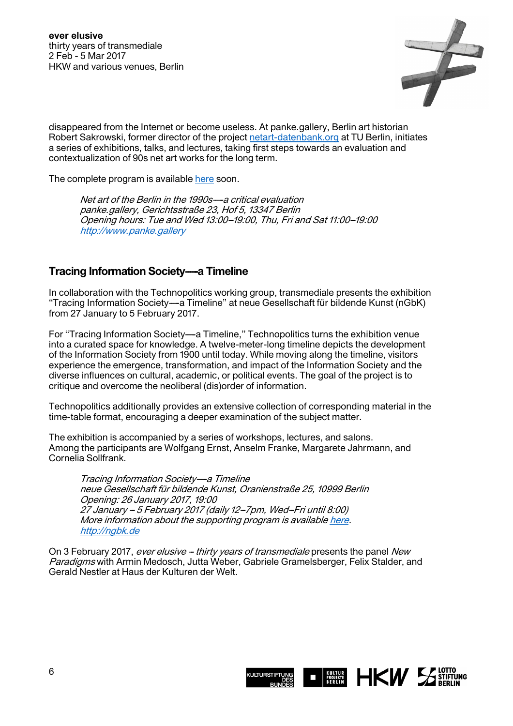

disappeared from the Internet or become useless. At panke.gallery, Berlin art historian Robert Sakrowski, former director of the project [netart-datenbank.org](http://netart-datenbank.org/) at TU Berlin, initiates a series of exhibitions, talks, and lectures, taking first steps towards an evaluation and contextualization of 90s net art works for the long term.

The complete program is available [here](http://www.panke.gallery/) soon.

Net art of the Berlin in the 1990s-a critical evaluation panke.gallery, Gerichtsstraße 23, Hof 5, 13347 Berlin Opening hours: Tue and Wed 13:00--19:00, Thu, Fri and Sat 11:00--19:00 [http://www.panke.gallery](http://www.panke.gallery/)

## **Tracing Information Society—a Timeline**

In collaboration with the Technopolitics working group, transmediale presents the exhibition "Tracing Information Society---a Timeline" at neue Gesellschaft für bildende Kunst (nGbK) from 27 January to 5 February 2017.

For "Tracing Information Society---a Timeline," Technopolitics turns the exhibition venue into a curated space for knowledge. A twelve-meter-long timeline depicts the development of the Information Society from 1900 until today. While moving along the timeline, visitors experience the emergence, transformation, and impact of the Information Society and the diverse influences on cultural, academic, or political events. The goal of the project is to critique and overcome the neoliberal (dis)order of information.

Technopolitics additionally provides an extensive collection of corresponding material in the time-table format, encouraging a deeper examination of the subject matter.

The exhibition is accompanied by a series of workshops, lectures, and salons. Among the participants are Wolfgang Ernst, Anselm Franke, Margarete Jahrmann, and Cornelia Sollfrank.

Tracing Information Society-a Timeline neue Gesellschaft für bildende Kunst, Oranienstraße 25, 10999 Berlin Opening: 26 January 2017, 19:00 27 January -- 5 February 2017 (daily 12--7pm, Wed--Fri until 8:00) More information about the supporting program is available [here.](http://www.technopolitics.info/programm_transmediale/index.html) [http://ngbk.de](http://ngbk.de/development/index.php?lang=de)

On 3 February 2017, ever elusive - thirty years of transmediale presents the panel New Paradigms with Armin Medosch, Jutta Weber, Gabriele Gramelsberger, Felix Stalder, and Gerald Nestler at Haus der Kulturen der Welt.